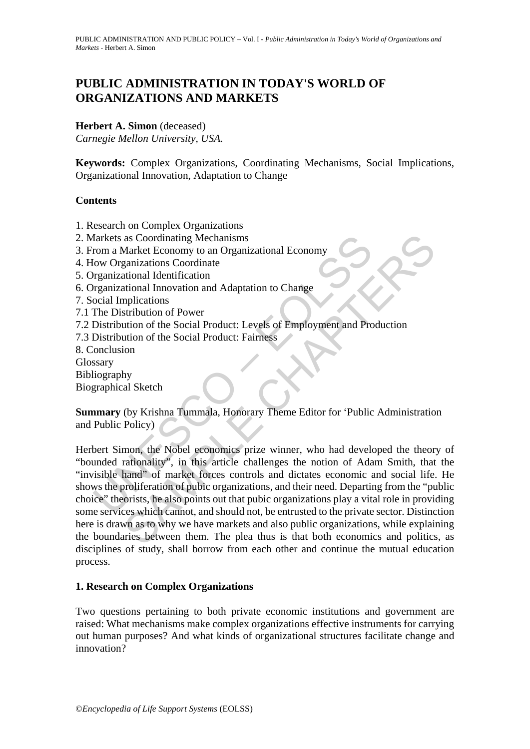# **PUBLIC ADMINISTRATION IN TODAY'S WORLD OF ORGANIZATIONS AND MARKETS**

### **Herbert A. Simon** (deceased)

*Carnegie Mellon University, USA.* 

**Keywords:** Complex Organizations, Coordinating Mechanisms, Social Implications, Organizational Innovation, Adaptation to Change

#### **Contents**

- 1. Research on Complex Organizations
- 2. Markets as Coordinating Mechanisms
- 3. From a Market Economy to an Organizational Economy
- 4. How Organizations Coordinate
- 5. Organizational Identification
- 6. Organizational Innovation and Adaptation to Change
- 7. Social Implications
- 7.1 The Distribution of Power
- 7.2 Distribution of the Social Product: Levels of Employment and Production
- 7.3 Distribution of the Social Product: Fairness
- 8. Conclusion

Glossary

Bibliography

Biographical Sketch

**Summary** (by Krishna Tummala, Honorary Theme Editor for 'Public Administration and Public Policy)

Farkets as Coordinating Mechanisms<br>
Form a Market Economy to an Organizational Economy<br>
The anizations Coordinate<br>
Integralizational Individual Influction<br>
The Distribution of the Social Product: Levels of Employment and P as Coordinating Mechanisms<br>
Market Economy to an Organizational Economy<br>
Samizations Coordinate<br>
arguinations Coordinate<br>
arguinations and Adaptation to Change<br>
principations<br>
arguination of the Social Product: Levels of E Herbert Simon, the Nobel economics prize winner, who had developed the theory of "bounded rationality", in this article challenges the notion of Adam Smith, that the "invisible hand" of market forces controls and dictates economic and social life. He shows the proliferation of pubic organizations, and their need. Departing from the "public choice" theorists, he also points out that pubic organizations play a vital role in providing some services which cannot, and should not, be entrusted to the private sector. Distinction here is drawn as to why we have markets and also public organizations, while explaining the boundaries between them. The plea thus is that both economics and politics, as disciplines of study, shall borrow from each other and continue the mutual education process.

#### **1. Research on Complex Organizations**

Two questions pertaining to both private economic institutions and government are raised: What mechanisms make complex organizations effective instruments for carrying out human purposes? And what kinds of organizational structures facilitate change and innovation?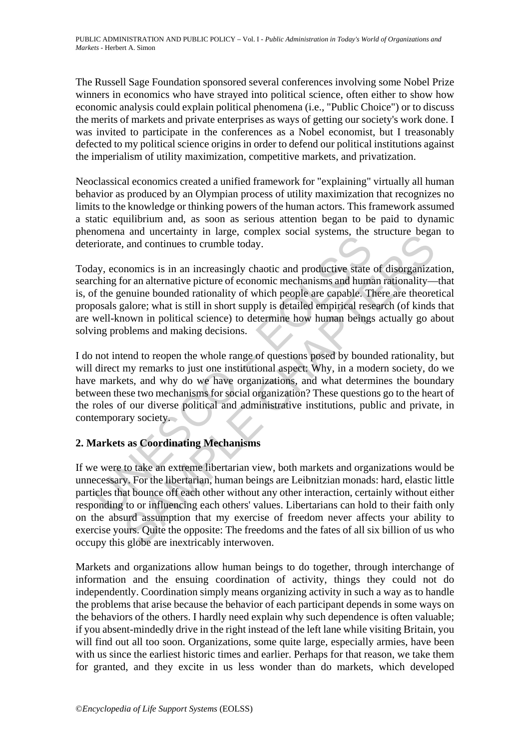The Russell Sage Foundation sponsored several conferences involving some Nobel Prize winners in economics who have strayed into political science, often either to show how economic analysis could explain political phenomena (i.e., "Public Choice") or to discuss the merits of markets and private enterprises as ways of getting our society's work done. I was invited to participate in the conferences as a Nobel economist, but I treasonably defected to my political science origins in order to defend our political institutions against the imperialism of utility maximization, competitive markets, and privatization.

Neoclassical economics created a unified framework for "explaining" virtually all human behavior as produced by an Olympian process of utility maximization that recognizes no limits to the knowledge or thinking powers of the human actors. This framework assumed a static equilibrium and, as soon as serious attention began to be paid to dynamic phenomena and uncertainty in large, complex social systems, the structure began to deteriorate, and continues to crumble today.

Fraction and uncorrelation of margin streaments and continues to crumble today.<br>
ay, economics is in an increasingly chaotic and productive state<br>
ching for an alternative picture of economic mechanisms and human<br>
or f the Today, economics is in an increasingly chaotic and productive state of disorganization, searching for an alternative picture of economic mechanisms and human rationality—that is, of the genuine bounded rationality of which people are capable. There are theoretical proposals galore; what is still in short supply is detailed empirical research (of kinds that are well-known in political science) to determine how human beings actually go about solving problems and making decisions.

I do not intend to reopen the whole range of questions posed by bounded rationality, but will direct my remarks to just one institutional aspect: Why, in a modern society, do we have markets, and why do we have organizations, and what determines the boundary between these two mechanisms for social organization? These questions go to the heart of the roles of our diverse political and administrative institutions, public and private, in contemporary society.

## **2. Markets as Coordinating Mechanisms**

a and metricularly in angle, complex social systems, the statetic logal<br>and antification or and productive state of disorganization<br>or an alternative picture of economic mechanisms and human rationality—<br>nomines is in an i If we were to take an extreme libertarian view, both markets and organizations would be unnecessary. For the libertarian, human beings are Leibnitzian monads: hard, elastic little particles that bounce off each other without any other interaction, certainly without either responding to or influencing each others' values. Libertarians can hold to their faith only on the absurd assumption that my exercise of freedom never affects your ability to exercise yours. Quite the opposite: The freedoms and the fates of all six billion of us who occupy this globe are inextricably interwoven.

Markets and organizations allow human beings to do together, through interchange of information and the ensuing coordination of activity, things they could not do independently. Coordination simply means organizing activity in such a way as to handle the problems that arise because the behavior of each participant depends in some ways on the behaviors of the others. I hardly need explain why such dependence is often valuable; if you absent-mindedly drive in the right instead of the left lane while visiting Britain, you will find out all too soon. Organizations, some quite large, especially armies, have been with us since the earliest historic times and earlier. Perhaps for that reason, we take them for granted, and they excite in us less wonder than do markets, which developed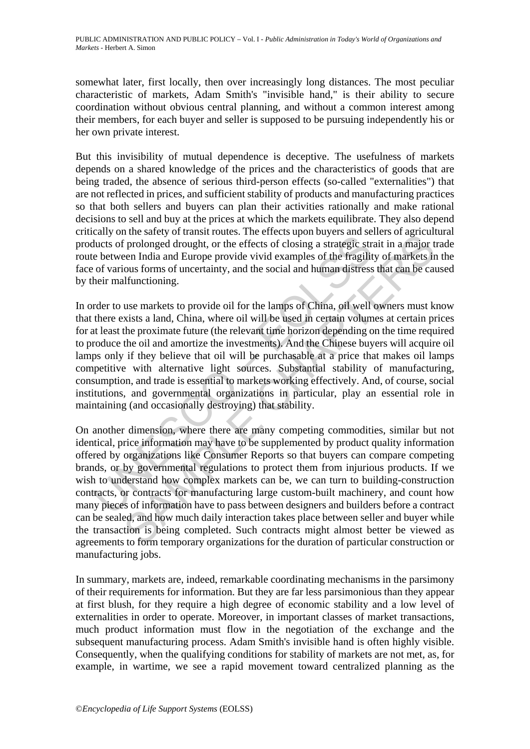somewhat later, first locally, then over increasingly long distances. The most peculiar characteristic of markets, Adam Smith's "invisible hand," is their ability to secure coordination without obvious central planning, and without a common interest among their members, for each buyer and seller is supposed to be pursuing independently his or her own private interest.

But this invisibility of mutual dependence is deceptive. The usefulness of markets depends on a shared knowledge of the prices and the characteristics of goods that are being traded, the absence of serious third-person effects (so-called "externalities") that are not reflected in prices, and sufficient stability of products and manufacturing practices so that both sellers and buyers can plan their activities rationally and make rational decisions to sell and buy at the prices at which the markets equilibrate. They also depend critically on the safety of transit routes. The effects upon buyers and sellers of agricultural products of prolonged drought, or the effects of closing a strategic strait in a major trade route between India and Europe provide vivid examples of the fragility of markets in the face of various forms of uncertainty, and the social and human distress that can be caused by their malfunctioning.

exampled and a consults of the section of the section of the section of the directs of prolonged drought, or the effects of closing a strategic street between India and Europe provide vivid examples of the fragilit of vari In order to use markets to provide oil for the lamps of China, oil well owners must know that there exists a land, China, where oil will be used in certain volumes at certain prices for at least the proximate future (the relevant time horizon depending on the time required to produce the oil and amortize the investments). And the Chinese buyers will acquire oil lamps only if they believe that oil will be purchasable at a price that makes oil lamps competitive with alternative light sources. Substantial stability of manufacturing, consumption, and trade is essential to markets working effectively. And, of course, social institutions, and governmental organizations in particular, play an essential role in maintaining (and occasionally destroying) that stability.

The saccy of transitionals. The christs appoint oughs and secure of prolonged drought, or the effects of closing a strategic strati in a major then his and the secular chapters and secure secure for prolonged drought, or t On another dimension, where there are many competing commodities, similar but not identical, price information may have to be supplemented by product quality information offered by organizations like Consumer Reports so that buyers can compare competing brands, or by governmental regulations to protect them from injurious products. If we wish to understand how complex markets can be, we can turn to building-construction contracts, or contracts for manufacturing large custom-built machinery, and count how many pieces of information have to pass between designers and builders before a contract can be sealed, and how much daily interaction takes place between seller and buyer while the transaction is being completed. Such contracts might almost better be viewed as agreements to form temporary organizations for the duration of particular construction or manufacturing jobs.

In summary, markets are, indeed, remarkable coordinating mechanisms in the parsimony of their requirements for information. But they are far less parsimonious than they appear at first blush, for they require a high degree of economic stability and a low level of externalities in order to operate. Moreover, in important classes of market transactions, much product information must flow in the negotiation of the exchange and the subsequent manufacturing process. Adam Smith's invisible hand is often highly visible. Consequently, when the qualifying conditions for stability of markets are not met, as, for example, in wartime, we see a rapid movement toward centralized planning as the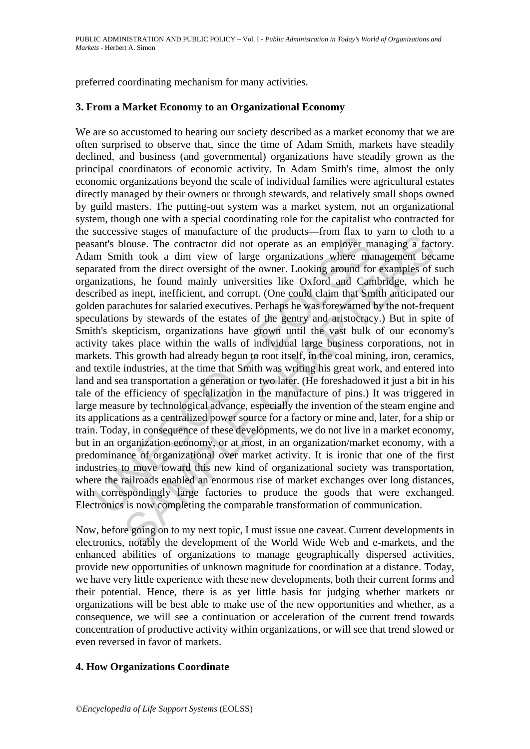preferred coordinating mechanism for many activities.

### **3. From a Market Economy to an Organizational Economy**

states of any manned of the manned of the products of the products of the reducts of the contractor did not operate as an employer m Smith took a dim view of large organizations where marated from the direct oversight of t so or manufacture or un produces—non riax to yant to chound<br>solouse. The contractor did not operate as an employer management becomb<br>tith took a dim view of large organizations where management becomble that took a dim vie We are so accustomed to hearing our society described as a market economy that we are often surprised to observe that, since the time of Adam Smith, markets have steadily declined, and business (and governmental) organizations have steadily grown as the principal coordinators of economic activity. In Adam Smith's time, almost the only economic organizations beyond the scale of individual families were agricultural estates directly managed by their owners or through stewards, and relatively small shops owned by guild masters. The putting-out system was a market system, not an organizational system, though one with a special coordinating role for the capitalist who contracted for the successive stages of manufacture of the products—from flax to yarn to cloth to a peasant's blouse. The contractor did not operate as an employer managing a factory. Adam Smith took a dim view of large organizations where management became separated from the direct oversight of the owner. Looking around for examples of such organizations, he found mainly universities like Oxford and Cambridge, which he described as inept, inefficient, and corrupt. (One could claim that Smith anticipated our golden parachutes for salaried executives. Perhaps he was forewarned by the not-frequent speculations by stewards of the estates of the gentry and aristocracy.) But in spite of Smith's skepticism, organizations have grown until the vast bulk of our economy's activity takes place within the walls of individual large business corporations, not in markets. This growth had already begun to root itself, in the coal mining, iron, ceramics, and textile industries, at the time that Smith was writing his great work, and entered into land and sea transportation a generation or two later. (He foreshadowed it just a bit in his tale of the efficiency of specialization in the manufacture of pins.) It was triggered in large measure by technological advance, especially the invention of the steam engine and its applications as a centralized power source for a factory or mine and, later, for a ship or train. Today, in consequence of these developments, we do not live in a market economy, but in an organization economy, or at most, in an organization/market economy, with a predominance of organizational over market activity. It is ironic that one of the first industries to move toward this new kind of organizational society was transportation, where the railroads enabled an enormous rise of market exchanges over long distances, with correspondingly large factories to produce the goods that were exchanged. Electronics is now completing the comparable transformation of communication.

Now, before going on to my next topic, I must issue one caveat. Current developments in electronics, notably the development of the World Wide Web and e-markets, and the enhanced abilities of organizations to manage geographically dispersed activities, provide new opportunities of unknown magnitude for coordination at a distance. Today, we have very little experience with these new developments, both their current forms and their potential. Hence, there is as yet little basis for judging whether markets or organizations will be best able to make use of the new opportunities and whether, as a consequence, we will see a continuation or acceleration of the current trend towards concentration of productive activity within organizations, or will see that trend slowed or even reversed in favor of markets.

#### **4. How Organizations Coordinate**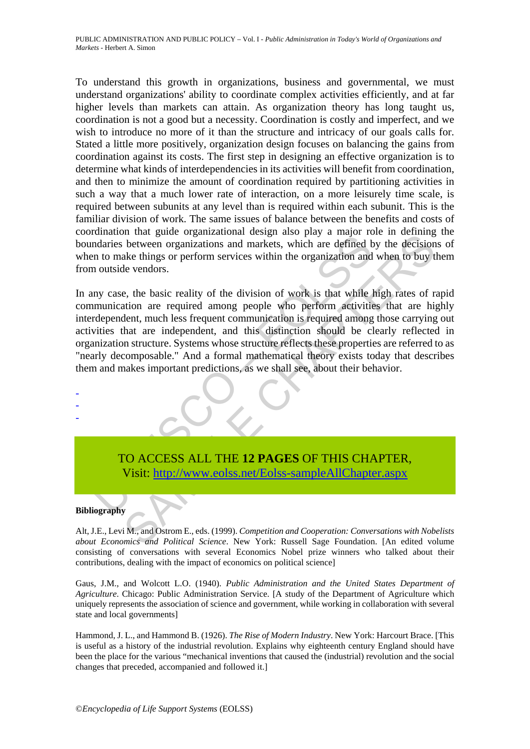To understand this growth in organizations, business and governmental, we must understand organizations' ability to coordinate complex activities efficiently, and at far higher levels than markets can attain. As organization theory has long taught us, coordination is not a good but a necessity. Coordination is costly and imperfect, and we wish to introduce no more of it than the structure and intricacy of our goals calls for. Stated a little more positively, organization design focuses on balancing the gains from coordination against its costs. The first step in designing an effective organization is to determine what kinds of interdependencies in its activities will benefit from coordination, and then to minimize the amount of coordination required by partitioning activities in such a way that a much lower rate of interaction, on a more leisurely time scale, is required between subunits at any level than is required within each subunit. This is the familiar division of work. The same issues of balance between the benefits and costs of coordination that guide organizational design also play a major role in defining the boundaries between organizations and markets, which are defined by the decisions of when to make things or perform services within the organization and when to buy them from outside vendors.

Franchischer and guard or gamizational design and any skip of a magnization and markets, which are defined in to make things or perform services within the organization and noutside vendors.<br>
In y case, the basic reality o m and gate or ganizzational usage anso play a mayo to be the decision<br>between organizations and markets, which are defined by the decision<br>ake things or perform services within the organization and when to buy t<br>e vendors. In any case, the basic reality of the division of work is that while high rates of rapid communication are required among people who perform activities that are highly interdependent, much less frequent communication is required among those carrying out activities that are independent, and this distinction should be clearly reflected in organization structure. Systems whose structure reflects these properties are referred to as "nearly decomposable." And a formal mathematical theory exists today that describes them and makes important predictions, as we shall see, about their behavior.

## TO ACCESS ALL THE **12 PAGES** OF THIS CHAPTER, Visit: http://www.eolss.net/Eolss-sampleAllChapter.aspx

#### **Bibliography**

- - -

Alt, J.E., Levi M., and Ostrom E., eds. (1999). *Competition and Cooperation: Conversations with Nobelists about Economics and Political Science*. New York: Russell Sage Foundation. [An edited volume consisting of conversations with several Economics Nobel prize winners who talked about their contributions, dealing with the impact of economics on political science]

Gaus, J.M., and Wolcott L.O. (1940). *Public Administration and the United States Department of Agriculture*. Chicago: Public Administration Service. [A study of the Department of Agriculture which uniquely represents the association of science and government, while working in collaboration with several state and local governments]

Hammond, J. L., and Hammond B. (1926). *The Rise of Modern Industry*. New York: Harcourt Brace. [This is useful as a history of the industrial revolution. Explains why eighteenth century England should have been the place for the various "mechanical inventions that caused the (industrial) revolution and the social changes that preceded, accompanied and followed it.]